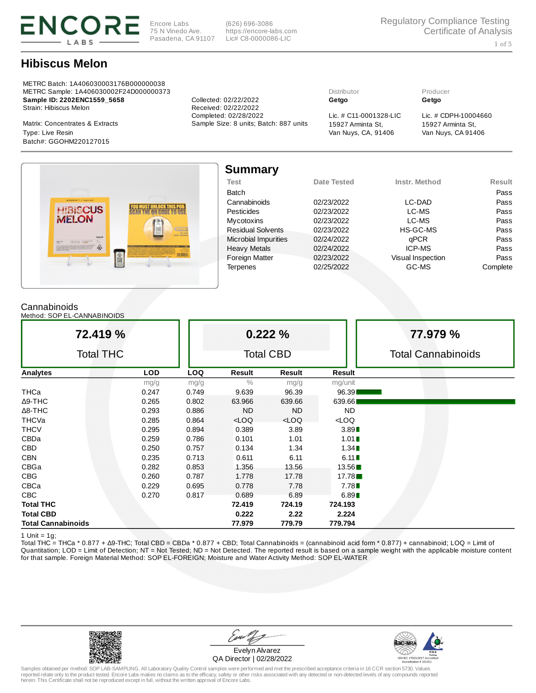

Encore Labs 75 N Vinedo Ave. Pasadena, CA 91107

(626) 696-3086 https://encore-labs.com Lic# C8-0000086-LIC

# Hibiscus Melon

METRC Batch: 1A406030003176B000000038 METRC Sample: 1A406030002F24D000000373 Distributor Producer Sample ID: 2202ENC1559\_5658 Collected: 02/22/2022 Getgo Getgo Strain: Hibiscus Melon Received: 02/22/2022<br>Completed: 02/28/2022

Van Nuys, CA, 91406 Type: Live Resin Van Nuys, CA 91406 Batch#: GGOHM220127015

Matrix: Concentrates & Extracts Sample Size: 8 units; Batch: 887 units 15927 Arminta St,

Lic. # C11-0001328-LIC Lic. # CDPH-10004660 15927 Arminta St,



| <b>Summary</b>           |             |                   |               |
|--------------------------|-------------|-------------------|---------------|
| <b>Test</b>              | Date Tested | Instr. Method     | <b>Result</b> |
| Batch                    |             |                   | Pass          |
| Cannabinoids             | 02/23/2022  | LC-DAD            | Pass          |
| Pesticides               | 02/23/2022  | LC-MS             | Pass          |
| <b>Mycotoxins</b>        | 02/23/2022  | LC-MS             | Pass          |
| <b>Residual Solvents</b> | 02/23/2022  | HS-GC-MS          | Pass          |
| Microbial Impurities     | 02/24/2022  | qPCR              | Pass          |
| <b>Heavy Metals</b>      | 02/24/2022  | ICP-MS            | Pass          |
| <b>Foreign Matter</b>    | 02/23/2022  | Visual Inspection | Pass          |
| <b>Terpenes</b>          | 02/25/2022  | GC-MS             | Complete      |

### Cannabinoids

Method: SOP EL-CANNABINOIDS

| 72.419 %                  |            | 0.222%     |         |                  | 77.979 %  |                           |
|---------------------------|------------|------------|---------|------------------|-----------|---------------------------|
| <b>Total THC</b>          |            |            |         | <b>Total CBD</b> |           | <b>Total Cannabinoids</b> |
| <b>Analytes</b>           | <b>LOD</b> | <b>LOQ</b> | Result  | Result           | Result    |                           |
|                           | mg/g       | mg/g       | 0/0     | mg/g             | mg/unit   |                           |
| THCa                      | 0.247      | 0.749      | 9.639   | 96.39            | 96.39     |                           |
| $\Delta$ 9-THC            | 0.265      | 0.802      | 63.966  | 639.66           | 639.661   |                           |
| $\Delta$ 8-THC            | 0.293      | 0.886      | ND.     | ND.              | <b>ND</b> |                           |
| THCVa                     | 0.285      | 0.864      | $<$ LOQ | $<$ LOQ          | $<$ LOQ   |                           |
| <b>THCV</b>               | 0.295      | 0.894      | 0.389   | 3.89             | 3.89      |                           |
| CBDa                      | 0.259      | 0.786      | 0.101   | 1.01             | 1.01      |                           |
| <b>CBD</b>                | 0.250      | 0.757      | 0.134   | 1.34             | 1.34      |                           |
| <b>CBN</b>                | 0.235      | 0.713      | 0.611   | 6.11             | 6.11      |                           |
| CBGa                      | 0.282      | 0.853      | 1.356   | 13.56            | 13.56     |                           |
| <b>CBG</b>                | 0.260      | 0.787      | 1.778   | 17.78            | 17.78     |                           |
| CBCa                      | 0.229      | 0.695      | 0.778   | 7.78             | 7.78      |                           |
| <b>CBC</b>                | 0.270      | 0.817      | 0.689   | 6.89             | 6.89      |                           |
| <b>Total THC</b>          |            |            | 72.419  | 724.19           | 724.193   |                           |
| <b>Total CBD</b>          |            |            | 0.222   | 2.22             | 2.224     |                           |
| <b>Total Cannabinoids</b> |            |            | 77.979  | 779.79           | 779.794   |                           |

1 Unit =  $1g$ ;

Total THC = THCa \* 0.877 + ∆9-THC; Total CBD = CBDa \* 0.877 + CBD; Total Cannabinoids = (cannabinoid acid form \* 0.877) + cannabinoid; LOQ = Limit of Quantitation; LOD = Limit of Detection; NT = Not Tested; ND = Not Detected. The reported result is based on a sample weight with the applicable moisture content for that sample. Foreign Material Method: SOP EL-FOREIGN; Moisture and Water Activity Method: SOP EL-WATER



Evelyn Alvarez QA Director | 02/28/2022

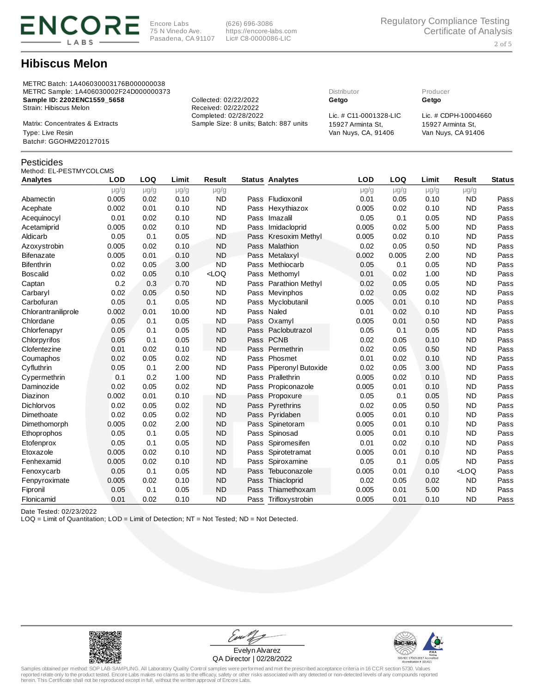

Encore Labs 75 N Vinedo Ave. Pasadena, CA 91107

(626) 696-3086 https://encore-labs.com Lic# C8-0000086-LIC

## Hibiscus Melon

METRC Batch: 1A406030003176B000000038 METRC Sample: 1A406030002F24D000000373 Distributor Producer Sample ID: 2202ENC1559\_5658 Collected: 02/22/2022 Getgo Getgo Strain: Hibiscus Melon Received: 02/22/2022<br>Completed: 02/28/2022

Matrix: Concentrates & Extracts Sample Size: 8 units; Batch: 887 units 15927 Arminta St, Van Nuys, CA, 91406 Type: Live Resin Van Nuys, CA 91406 Batch#: GGOHM220127015

### Pesticides

### Method: EL-PESTMYCOLCMS

| Analytes            | <b>LOD</b> | LOQ       | Limit     | <b>Result</b> |      | <b>Status Analytes</b> | <b>LOD</b> | LOQ       | Limit     | <b>Result</b> | <b>Status</b> |
|---------------------|------------|-----------|-----------|---------------|------|------------------------|------------|-----------|-----------|---------------|---------------|
|                     | $\mu$ g/g  | $\mu$ g/g | $\mu$ g/g | $\mu$ g/g     |      |                        | $\mu$ g/g  | $\mu$ g/g | $\mu$ g/g | $\mu$ g/g     |               |
| Abamectin           | 0.005      | 0.02      | 0.10      | <b>ND</b>     |      | Pass Fludioxonil       | 0.01       | 0.05      | 0.10      | ND            | Pass          |
| Acephate            | 0.002      | 0.01      | 0.10      | <b>ND</b>     |      | Pass Hexythiazox       | 0.005      | 0.02      | 0.10      | <b>ND</b>     | Pass          |
| Acequinocyl         | 0.01       | 0.02      | 0.10      | <b>ND</b>     | Pass | Imazalil               | 0.05       | 0.1       | 0.05      | <b>ND</b>     | Pass          |
| Acetamiprid         | 0.005      | 0.02      | 0.10      | <b>ND</b>     | Pass | Imidacloprid           | 0.005      | 0.02      | 5.00      | <b>ND</b>     | Pass          |
| Aldicarb            | 0.05       | 0.1       | 0.05      | <b>ND</b>     | Pass | Kresoxim Methyl        | 0.005      | 0.02      | 0.10      | <b>ND</b>     | Pass          |
| Azoxystrobin        | 0.005      | 0.02      | 0.10      | <b>ND</b>     | Pass | Malathion              | 0.02       | 0.05      | 0.50      | <b>ND</b>     | Pass          |
| Bifenazate          | 0.005      | 0.01      | 0.10      | <b>ND</b>     | Pass | Metalaxyl              | 0.002      | 0.005     | 2.00      | <b>ND</b>     | Pass          |
| Bifenthrin          | 0.02       | 0.05      | 3.00      | <b>ND</b>     | Pass | Methiocarb             | 0.05       | 0.1       | 0.05      | <b>ND</b>     | Pass          |
| Boscalid            | 0.02       | 0.05      | 0.10      | $<$ LOQ       | Pass | Methomyl               | 0.01       | 0.02      | 1.00      | <b>ND</b>     | Pass          |
| Captan              | 0.2        | 0.3       | 0.70      | <b>ND</b>     | Pass | Parathion Methyl       | 0.02       | 0.05      | 0.05      | <b>ND</b>     | Pass          |
| Carbaryl            | 0.02       | 0.05      | 0.50      | <b>ND</b>     | Pass | Mevinphos              | 0.02       | 0.05      | 0.02      | <b>ND</b>     | Pass          |
| Carbofuran          | 0.05       | 0.1       | 0.05      | <b>ND</b>     | Pass | Myclobutanil           | 0.005      | 0.01      | 0.10      | <b>ND</b>     | Pass          |
| Chlorantraniliprole | 0.002      | 0.01      | 10.00     | <b>ND</b>     | Pass | Naled                  | 0.01       | 0.02      | 0.10      | <b>ND</b>     | Pass          |
| Chlordane           | 0.05       | 0.1       | 0.05      | <b>ND</b>     | Pass | Oxamyl                 | 0.005      | 0.01      | 0.50      | <b>ND</b>     | Pass          |
| Chlorfenapyr        | 0.05       | 0.1       | 0.05      | <b>ND</b>     |      | Pass Paclobutrazol     | 0.05       | 0.1       | 0.05      | <b>ND</b>     | Pass          |
| Chlorpyrifos        | 0.05       | 0.1       | 0.05      | <b>ND</b>     |      | Pass PCNB              | 0.02       | 0.05      | 0.10      | <b>ND</b>     | Pass          |
| Clofentezine        | 0.01       | 0.02      | 0.10      | <b>ND</b>     | Pass | Permethrin             | 0.02       | 0.05      | 0.50      | <b>ND</b>     | Pass          |
| Coumaphos           | 0.02       | 0.05      | 0.02      | <b>ND</b>     | Pass | Phosmet                | 0.01       | 0.02      | 0.10      | <b>ND</b>     | Pass          |
| Cyfluthrin          | 0.05       | 0.1       | 2.00      | <b>ND</b>     | Pass | Piperonyl Butoxide     | 0.02       | 0.05      | 3.00      | <b>ND</b>     | Pass          |
| Cypermethrin        | 0.1        | 0.2       | 1.00      | <b>ND</b>     |      | Pass Prallethrin       | 0.005      | 0.02      | 0.10      | <b>ND</b>     | Pass          |
| Daminozide          | 0.02       | 0.05      | 0.02      | <b>ND</b>     | Pass | Propiconazole          | 0.005      | 0.01      | 0.10      | <b>ND</b>     | Pass          |
| Diazinon            | 0.002      | 0.01      | 0.10      | <b>ND</b>     | Pass | Propoxure              | 0.05       | 0.1       | 0.05      | <b>ND</b>     | Pass          |
| Dichlorvos          | 0.02       | 0.05      | 0.02      | <b>ND</b>     | Pass | Pyrethrins             | 0.02       | 0.05      | 0.50      | <b>ND</b>     | Pass          |
| Dimethoate          | 0.02       | 0.05      | 0.02      | <b>ND</b>     | Pass | Pyridaben              | 0.005      | 0.01      | 0.10      | <b>ND</b>     | Pass          |
| Dimethomorph        | 0.005      | 0.02      | 2.00      | <b>ND</b>     | Pass | Spinetoram             | 0.005      | 0.01      | 0.10      | <b>ND</b>     | Pass          |
| Ethoprophos         | 0.05       | 0.1       | 0.05      | <b>ND</b>     | Pass | Spinosad               | 0.005      | 0.01      | 0.10      | <b>ND</b>     | Pass          |
| Etofenprox          | 0.05       | 0.1       | 0.05      | <b>ND</b>     | Pass | Spiromesifen           | 0.01       | 0.02      | 0.10      | <b>ND</b>     | Pass          |
| Etoxazole           | 0.005      | 0.02      | 0.10      | <b>ND</b>     | Pass | Spirotetramat          | 0.005      | 0.01      | 0.10      | <b>ND</b>     | Pass          |
| Fenhexamid          | 0.005      | 0.02      | 0.10      | <b>ND</b>     | Pass | Spiroxamine            | 0.05       | 0.1       | 0.05      | <b>ND</b>     | Pass          |
| Fenoxycarb          | 0.05       | 0.1       | 0.05      | <b>ND</b>     | Pass | Tebuconazole           | 0.005      | 0.01      | 0.10      | $<$ LOO       | Pass          |
| Fenpyroximate       | 0.005      | 0.02      | 0.10      | <b>ND</b>     | Pass | Thiacloprid            | 0.02       | 0.05      | 0.02      | <b>ND</b>     | Pass          |
| Fipronil            | 0.05       | 0.1       | 0.05      | <b>ND</b>     | Pass | Thiamethoxam           | 0.005      | 0.01      | 5.00      | <b>ND</b>     | Pass          |
| Flonicamid          | 0.01       | 0.02      | 0.10      | <b>ND</b>     | Pass | Trifloxystrobin        | 0.005      | 0.01      | 0.10      | <b>ND</b>     | Pass          |

Date Tested: 02/23/2022

LOQ = Limit of Quantitation; LOD = Limit of Detection; NT = Not Tested; ND = Not Detected.



Evu Evelyn Alvarez QA Director | 02/28/2022



Samples obtained per method: SOP LAB-SAMPLING. All Laboratory Quality Control samples were performed and met the prescribed acceptance criteria in 16 CCR section 5730. Values<br>reported relate only to the product tested. Enc

Lic. # C11-0001328-LIC Lic. # CDPH-10004660 15927 Arminta St,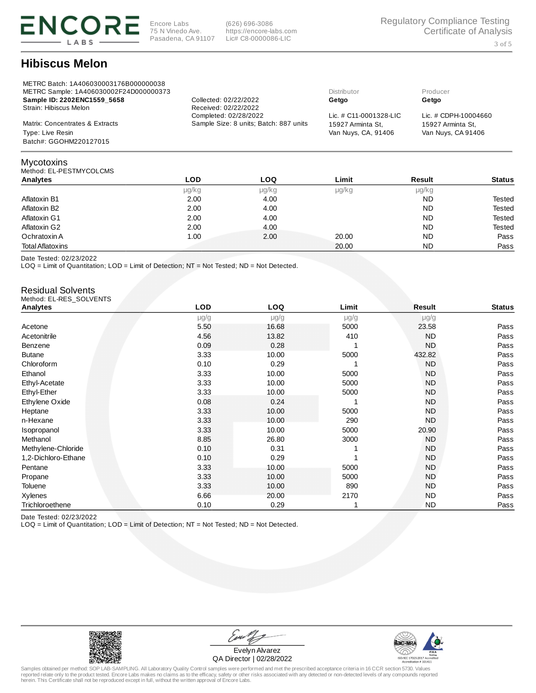

(626) 696-3086 https://encore-labs.com Lic# C8-0000086-LIC

# Hibiscus Melon

| METRC Batch: 1A406030003176B000000038<br>METRC Sample: 1A406030002F24D000000373 |                                        | Distributor               | Producer             |
|---------------------------------------------------------------------------------|----------------------------------------|---------------------------|----------------------|
| Sample ID: 2202ENC1559 5658                                                     | Collected: 02/22/2022                  | Getgo                     | Getgo                |
| Strain: Hibiscus Melon                                                          | Received: 02/22/2022                   |                           |                      |
|                                                                                 | Completed: 02/28/2022                  | Lic. $\#$ C11-0001328-LIC | Lic. # CDPH-10004660 |
| Matrix: Concentrates & Extracts                                                 | Sample Size: 8 units; Batch: 887 units | 15927 Arminta St.         | 15927 Arminta St.    |
| Type: Live Resin                                                                |                                        | Van Nuys, CA, 91406       | Van Nuys, CA 91406   |
| Batch#: GGOHM220127015                                                          |                                        |                           |                      |
|                                                                                 |                                        |                           |                      |

### Method: EL-PESTMYCOLCMS Analytes LOD LOQ Limit Result Status μg/kg μg/kg μg/kg μg/kg Aflatoxin B1 2.00 2.00 4.00 Aflatoxin B1 2.00 Aflatoxin B1 2.00 Aflatoxin B1 2.00 Aflatoxin B1 2.00 Aflatoxin B1 Aflatoxin B2 2.00 2.00 4.00 Aflatoxin B2 2.00 2.00 Aflatoxin B2 Aflatoxin G1 **2.00** 2.00 4.00 Aflatoxin G1 **2.00** Aflatoxin G1 Aflatoxin G2 2.00 4.00 ND Tested Ochratoxin A 1.00 2.00 20.00 ND Pass Total Aflatoxins 20.00 ND Pass

Date Tested: 02/23/2022

Mycotoxins

LOQ = Limit of Quantitation; LOD = Limit of Detection; NT = Not Tested; ND = Not Detected.

#### Residual Solvents Method: EL-RES\_SOLVENTS

| Analytes            | LOD  | LOQ       | Limit        | Result    | <b>Status</b> |
|---------------------|------|-----------|--------------|-----------|---------------|
|                     | µg/g | $\mu$ g/g | $\mu$ g/g    | $\mu$ g/g |               |
| Acetone             | 5.50 | 16.68     | 5000         | 23.58     | Pass          |
| Acetonitrile        | 4.56 | 13.82     | 410          | <b>ND</b> | Pass          |
| Benzene             | 0.09 | 0.28      |              | <b>ND</b> | Pass          |
| <b>Butane</b>       | 3.33 | 10.00     | 5000         | 432.82    | Pass          |
| Chloroform          | 0.10 | 0.29      | 1            | <b>ND</b> | Pass          |
| Ethanol             | 3.33 | 10.00     | 5000         | <b>ND</b> | Pass          |
| Ethyl-Acetate       | 3.33 | 10.00     | 5000         | <b>ND</b> | Pass          |
| Ethyl-Ether         | 3.33 | 10.00     | 5000         | <b>ND</b> | Pass          |
| Ethylene Oxide      | 0.08 | 0.24      | 1            | <b>ND</b> | Pass          |
| Heptane             | 3.33 | 10.00     | 5000         | <b>ND</b> | Pass          |
| n-Hexane            | 3.33 | 10.00     | 290          | <b>ND</b> | Pass          |
| <b>Isopropanol</b>  | 3.33 | 10.00     | 5000         | 20.90     | Pass          |
| Methanol            | 8.85 | 26.80     | 3000         | <b>ND</b> | Pass          |
| Methylene-Chloride  | 0.10 | 0.31      |              | <b>ND</b> | Pass          |
| 1,2-Dichloro-Ethane | 0.10 | 0.29      | $\mathbf{1}$ | <b>ND</b> | Pass          |
| Pentane             | 3.33 | 10.00     | 5000         | <b>ND</b> | Pass          |
| Propane             | 3.33 | 10.00     | 5000         | <b>ND</b> | Pass          |
| Toluene             | 3.33 | 10.00     | 890          | <b>ND</b> | Pass          |
| Xylenes             | 6.66 | 20.00     | 2170         | <b>ND</b> | Pass          |
| Trichloroethene     | 0.10 | 0.29      | 1            | <b>ND</b> | Pass          |

Date Tested: 02/23/2022

LOQ = Limit of Quantitation; LOD = Limit of Detection; NT = Not Tested; ND = Not Detected.



Evelyn Alvarez QA Director | 02/28/2022

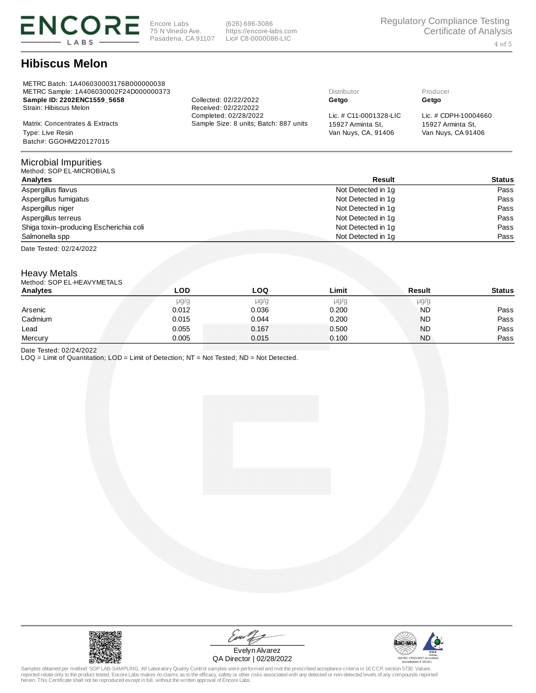

(626) 696-3086 https://encore-labs.com Lic# C8-0000086-LIC

# Hibiscus Melon

| METRC Batch: 1A406030003176B000000038<br>METRC Sample: 1A406030002F24D000000373 |                                        | Distributor               | Producer             |
|---------------------------------------------------------------------------------|----------------------------------------|---------------------------|----------------------|
| Sample ID: 2202ENC1559 5658                                                     | Collected: 02/22/2022                  | Getgo                     | Getgo                |
| Strain: Hibiscus Melon                                                          | Received: 02/22/2022                   |                           |                      |
|                                                                                 | Completed: 02/28/2022                  | Lic. $\#$ C11-0001328-LIC | Lic. # CDPH-10004660 |
| Matrix: Concentrates & Extracts                                                 | Sample Size: 8 units; Batch: 887 units | 15927 Arminta St.         | 15927 Arminta St.    |
| Type: Live Resin                                                                |                                        | Van Nuys, CA, 91406       | Van Nuys, CA 91406   |
| Batch#: GGOHM220127015                                                          |                                        |                           |                      |

#### Microbial Impurities<br>Method: SOP EL-MICROBIALS  $Mathod:$  SOP EL

| <b>METHOR, SUF LL-MICRODIALS</b>       |                    |        |
|----------------------------------------|--------------------|--------|
| Analytes                               | Result             | Status |
| Aspergillus flavus                     | Not Detected in 1q | Pass   |
| Aspergillus fumigatus                  | Not Detected in 1g | Pass   |
| Aspergillus niger                      | Not Detected in 1g | Pass   |
| Aspergillus terreus                    | Not Detected in 1q | Pass   |
| Shiga toxin-producing Escherichia coli | Not Detected in 1q | Pass   |
| Salmonella spp                         | Not Detected in 1q | Pass   |
|                                        |                    |        |

Date Tested: 02/24/2022

## Heavy Metals

| Method: SOP EL-HEAVYMETALS |       |           |       |           |               |
|----------------------------|-------|-----------|-------|-----------|---------------|
| Analytes                   | LOD   | LOO       | Limit | Result    | <b>Status</b> |
|                            | µg/g  | $\mu$ g/g | µg/g  | $\mu$ g/g |               |
| Arsenic                    | 0.012 | 0.036     | 0.200 | <b>ND</b> | Pass          |
| Cadmium                    | 0.015 | 0.044     | 0.200 | <b>ND</b> | Pass          |
| Lead                       | 0.055 | 0.167     | 0.500 | <b>ND</b> | Pass          |
| Mercury                    | 0.005 | 0.015     | 0.100 | <b>ND</b> | Pass          |

Date Tested: 02/24/2022

LOQ = Limit of Quantitation; LOD = Limit of Detection; NT = Not Tested; ND = Not Detected.